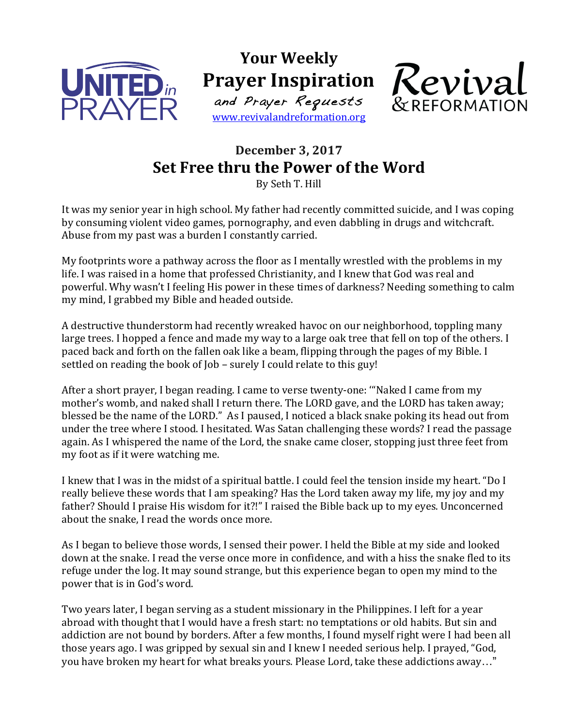

**Your Weekly Prayer Inspiration** 

and Prayer Requests www.revivalandreformation.org



## **December 3, 2017 Set Free thru the Power of the Word**

By Seth T. Hill

It was my senior year in high school. My father had recently committed suicide, and I was coping by consuming violent video games, pornography, and even dabbling in drugs and witchcraft. Abuse from my past was a burden I constantly carried.

My footprints wore a pathway across the floor as I mentally wrestled with the problems in my life. I was raised in a home that professed Christianity, and I knew that God was real and powerful. Why wasn't I feeling His power in these times of darkness? Needing something to calm my mind, I grabbed my Bible and headed outside.

A destructive thunderstorm had recently wreaked havoc on our neighborhood, toppling many large trees. I hopped a fence and made my way to a large oak tree that fell on top of the others. I paced back and forth on the fallen oak like a beam, flipping through the pages of my Bible. I settled on reading the book of  $\text{Job}$  – surely I could relate to this guy!

After a short prayer, I began reading. I came to verse twenty-one: "Naked I came from my mother's womb, and naked shall I return there. The LORD gave, and the LORD has taken away; blessed be the name of the LORD." As I paused, I noticed a black snake poking its head out from under the tree where I stood. I hesitated. Was Satan challenging these words? I read the passage again. As I whispered the name of the Lord, the snake came closer, stopping just three feet from my foot as if it were watching me.

I knew that I was in the midst of a spiritual battle. I could feel the tension inside my heart. "Do I really believe these words that I am speaking? Has the Lord taken away my life, my joy and my father? Should I praise His wisdom for it?!" I raised the Bible back up to my eyes. Unconcerned about the snake. I read the words once more.

As I began to believe those words, I sensed their power. I held the Bible at my side and looked down at the snake. I read the verse once more in confidence, and with a hiss the snake fled to its refuge under the log. It may sound strange, but this experience began to open my mind to the power that is in God's word.

Two years later, I began serving as a student missionary in the Philippines. I left for a year abroad with thought that I would have a fresh start: no temptations or old habits. But sin and addiction are not bound by borders. After a few months, I found myself right were I had been all those years ago. I was gripped by sexual sin and I knew I needed serious help. I prayed, "God, you have broken my heart for what breaks yours. Please Lord, take these addictions away..."